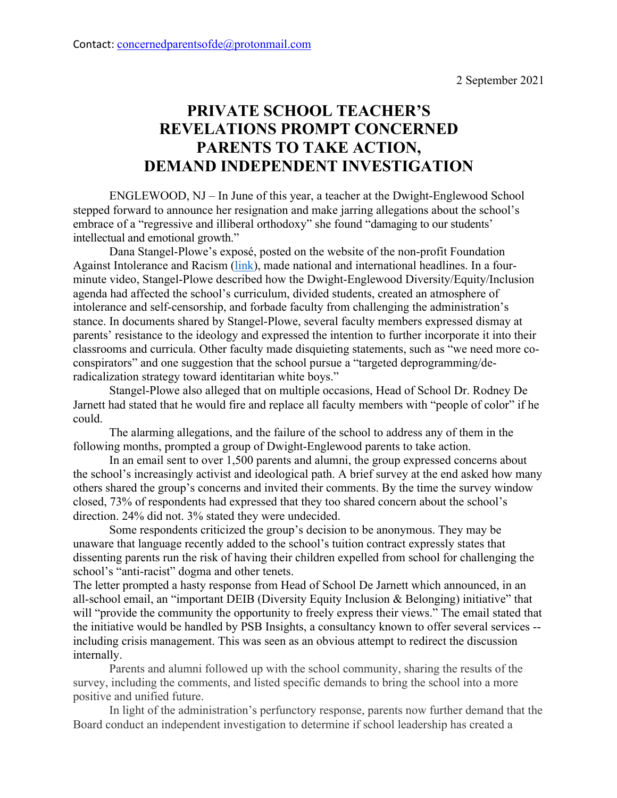## Contact: concernedparentsofde@protonmail.com

# **PRIVATE SCHOOL TEACHER'S REVELATIONS PROMPT CONCERNED PARENTS TO TAKE ACTION, DEMAND INDEPENDENT INVESTIGATION**

ENGLEWOOD, NJ – In June of this year, a teacher at the Dwight-Englewood School stepped forward to announce her resignation and make jarring allegations about the school's embrace of a "regressive and illiberal orthodoxy" she found "damaging to our students' intellectual and emotional growth."

Dana Stangel-Plowe's exposé, posted on the website of the non-profit Foundation Against Intolerance and Racism [\(link\)](https://www.fairforall.org/profiles-in-courage/dwight-englewood-whistleblower/), made national and international headlines. In a fourminute video, Stangel-Plowe described how the Dwight-Englewood Diversity/Equity/Inclusion agenda had affected the school's curriculum, divided students, created an atmosphere of intolerance and self-censorship, and forbade faculty from challenging the administration's stance. In documents shared by Stangel-Plowe, several faculty members expressed dismay at parents' resistance to the ideology and expressed the intention to further incorporate it into their classrooms and curricula. Other faculty made disquieting statements, such as "we need more coconspirators" and one suggestion that the school pursue a "targeted deprogramming/deradicalization strategy toward identitarian white boys."

Stangel-Plowe also alleged that on multiple occasions, Head of School Dr. Rodney De Jarnett had stated that he would fire and replace all faculty members with "people of color" if he could.

The alarming allegations, and the failure of the school to address any of them in the following months, prompted a group of Dwight-Englewood parents to take action.

In an email sent to over 1,500 parents and alumni, the group expressed concerns about the school's increasingly activist and ideological path. A brief survey at the end asked how many others shared the group's concerns and invited their comments. By the time the survey window closed, 73% of respondents had expressed that they too shared concern about the school's direction. 24% did not. 3% stated they were undecided.

Some respondents criticized the group's decision to be anonymous. They may be unaware that language recently added to the school's tuition contract expressly states that dissenting parents run the risk of having their children expelled from school for challenging the school's "anti-racist" dogma and other tenets.

The letter prompted a hasty response from Head of School De Jarnett which announced, in an all-school email, an "important DEIB (Diversity Equity Inclusion & Belonging) initiative" that will "provide the community the opportunity to freely express their views." The email stated that the initiative would be handled by PSB Insights, a consultancy known to offer several services - including crisis management. This was seen as an obvious attempt to redirect the discussion internally.

Parents and alumni followed up with the school community, sharing the results of the survey, including the comments, and listed specific demands to bring the school into a more positive and unified future.

In light of the administration's perfunctory response, parents now further demand that the Board conduct an independent investigation to determine if school leadership has created a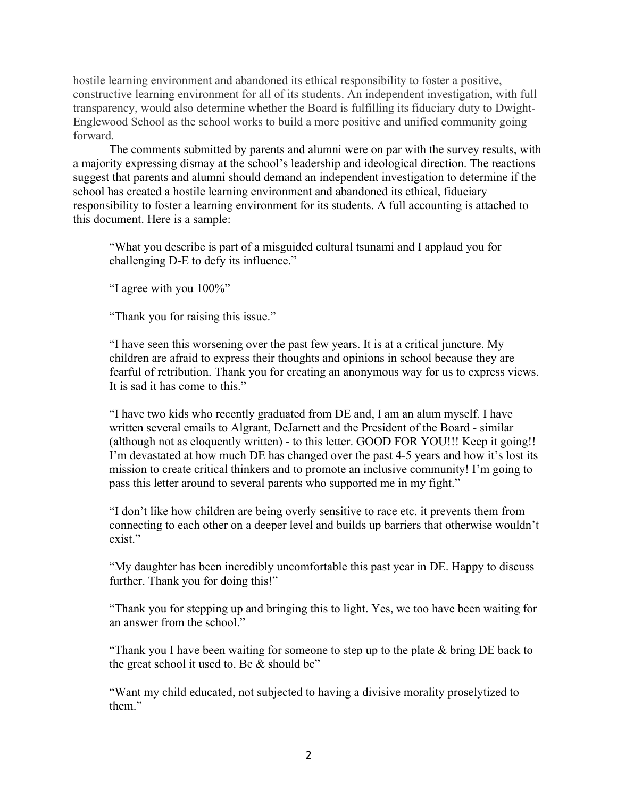hostile learning environment and abandoned its ethical responsibility to foster a positive, constructive learning environment for all of its students. An independent investigation, with full transparency, would also determine whether the Board is fulfilling its fiduciary duty to Dwight-Englewood School as the school works to build a more positive and unified community going forward.

The comments submitted by parents and alumni were on par with the survey results, with a majority expressing dismay at the school's leadership and ideological direction. The reactions suggest that parents and alumni should demand an independent investigation to determine if the school has created a hostile learning environment and abandoned its ethical, fiduciary responsibility to foster a learning environment for its students. A full accounting is attached to this document. Here is a sample:

"What you describe is part of a misguided cultural tsunami and I applaud you for challenging D-E to defy its influence."

"I agree with you 100%"

"Thank you for raising this issue."

"I have seen this worsening over the past few years. It is at a critical juncture. My children are afraid to express their thoughts and opinions in school because they are fearful of retribution. Thank you for creating an anonymous way for us to express views. It is sad it has come to this."

"I have two kids who recently graduated from DE and, I am an alum myself. I have written several emails to Algrant, DeJarnett and the President of the Board - similar (although not as eloquently written) - to this letter. GOOD FOR YOU!!! Keep it going!! I'm devastated at how much DE has changed over the past 4-5 years and how it's lost its mission to create critical thinkers and to promote an inclusive community! I'm going to pass this letter around to several parents who supported me in my fight."

"I don't like how children are being overly sensitive to race etc. it prevents them from connecting to each other on a deeper level and builds up barriers that otherwise wouldn't exist."

"My daughter has been incredibly uncomfortable this past year in DE. Happy to discuss further. Thank you for doing this!"

"Thank you for stepping up and bringing this to light. Yes, we too have been waiting for an answer from the school."

"Thank you I have been waiting for someone to step up to the plate  $&$  bring DE back to the great school it used to. Be & should be"

"Want my child educated, not subjected to having a divisive morality proselytized to them."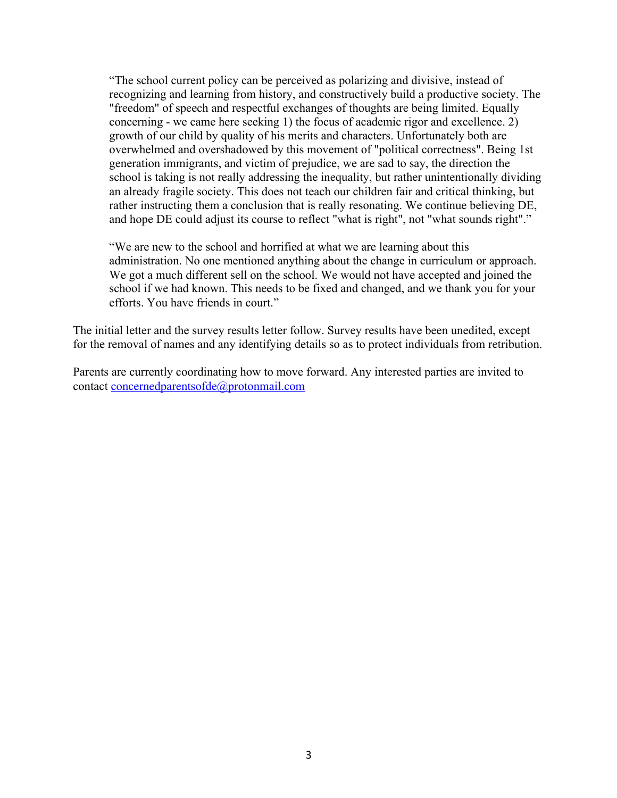"The school current policy can be perceived as polarizing and divisive, instead of recognizing and learning from history, and constructively build a productive society. The "freedom" of speech and respectful exchanges of thoughts are being limited. Equally concerning - we came here seeking 1) the focus of academic rigor and excellence. 2) growth of our child by quality of his merits and characters. Unfortunately both are overwhelmed and overshadowed by this movement of "political correctness". Being 1st generation immigrants, and victim of prejudice, we are sad to say, the direction the school is taking is not really addressing the inequality, but rather unintentionally dividing an already fragile society. This does not teach our children fair and critical thinking, but rather instructing them a conclusion that is really resonating. We continue believing DE, and hope DE could adjust its course to reflect "what is right", not "what sounds right"."

"We are new to the school and horrified at what we are learning about this administration. No one mentioned anything about the change in curriculum or approach. We got a much different sell on the school. We would not have accepted and joined the school if we had known. This needs to be fixed and changed, and we thank you for your efforts. You have friends in court."

The initial letter and the survey results letter follow. Survey results have been unedited, except for the removal of names and any identifying details so as to protect individuals from retribution.

Parents are currently coordinating how to move forward. Any interested parties are invited to contact concernedparentsofde@protonmail.com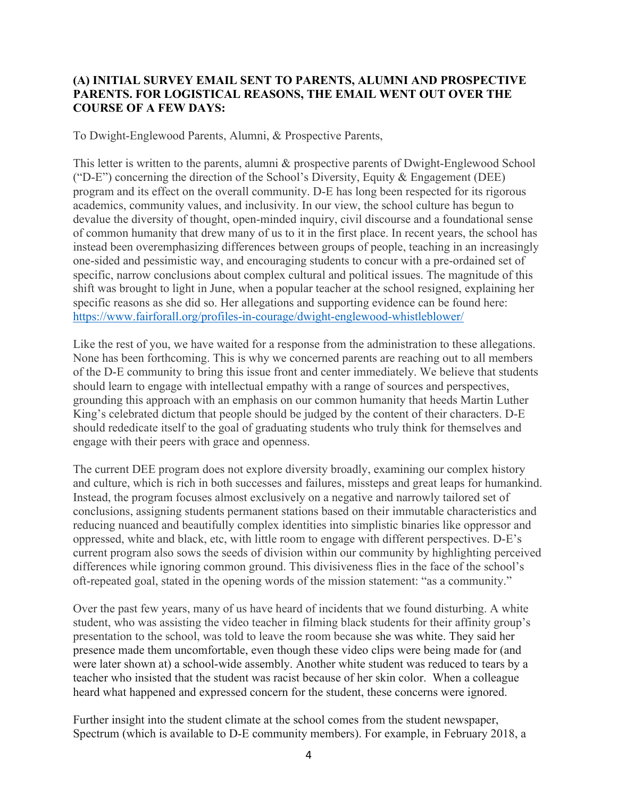### **(A) INITIAL SURVEY EMAIL SENT TO PARENTS, ALUMNI AND PROSPECTIVE PARENTS. FOR LOGISTICAL REASONS, THE EMAIL WENT OUT OVER THE COURSE OF A FEW DAYS:**

To Dwight-Englewood Parents, Alumni, & Prospective Parents,

This letter is written to the parents, alumni & prospective parents of Dwight-Englewood School ("D-E") concerning the direction of the School's Diversity, Equity & Engagement (DEE) program and its effect on the overall community. D-E has long been respected for its rigorous academics, community values, and inclusivity. In our view, the school culture has begun to devalue the diversity of thought, open-minded inquiry, civil discourse and a foundational sense of common humanity that drew many of us to it in the first place. In recent years, the school has instead been overemphasizing differences between groups of people, teaching in an increasingly one-sided and pessimistic way, and encouraging students to concur with a pre-ordained set of specific, narrow conclusions about complex cultural and political issues. The magnitude of this shift was brought to light in June, when a popular teacher at the school resigned, explaining her specific reasons as she did so. Her allegations and supporting evidence can be found here: https://www.fairforall.org/profiles-in-courage/dwight-englewood-whistleblower/

Like the rest of you, we have waited for a response from the administration to these allegations. None has been forthcoming. This is why we concerned parents are reaching out to all members of the D-E community to bring this issue front and center immediately. We believe that students should learn to engage with intellectual empathy with a range of sources and perspectives, grounding this approach with an emphasis on our common humanity that heeds Martin Luther King's celebrated dictum that people should be judged by the content of their characters. D-E should rededicate itself to the goal of graduating students who truly think for themselves and engage with their peers with grace and openness.

The current DEE program does not explore diversity broadly, examining our complex history and culture, which is rich in both successes and failures, missteps and great leaps for humankind. Instead, the program focuses almost exclusively on a negative and narrowly tailored set of conclusions, assigning students permanent stations based on their immutable characteristics and reducing nuanced and beautifully complex identities into simplistic binaries like oppressor and oppressed, white and black, etc, with little room to engage with different perspectives. D-E's current program also sows the seeds of division within our community by highlighting perceived differences while ignoring common ground. This divisiveness flies in the face of the school's oft-repeated goal, stated in the opening words of the mission statement: "as a community."

Over the past few years, many of us have heard of incidents that we found disturbing. A white student, who was assisting the video teacher in filming black students for their affinity group's presentation to the school, was told to leave the room because she was white. They said her presence made them uncomfortable, even though these video clips were being made for (and were later shown at) a school-wide assembly. Another white student was reduced to tears by a teacher who insisted that the student was racist because of her skin color. When a colleague heard what happened and expressed concern for the student, these concerns were ignored.

Further insight into the student climate at the school comes from the student newspaper, Spectrum (which is available to D-E community members). For example, in February 2018, a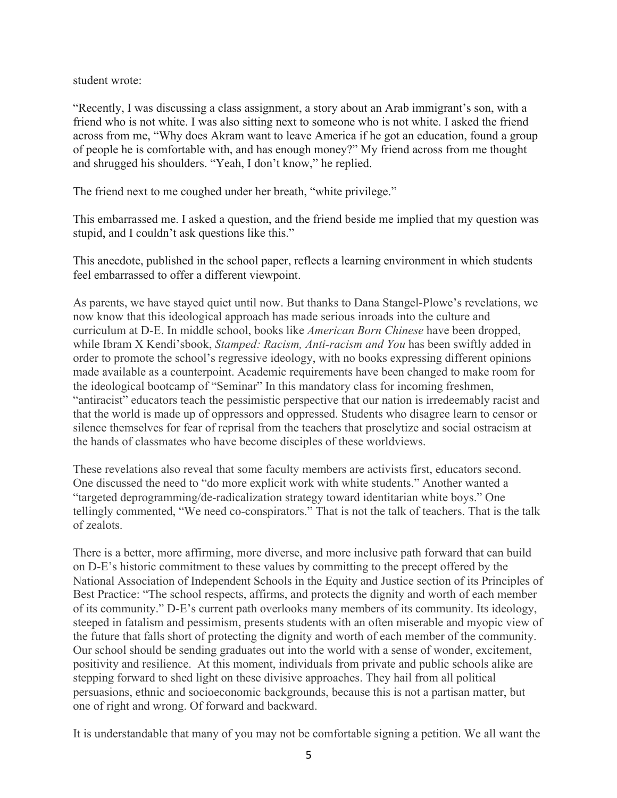student wrote:

"Recently, I was discussing a class assignment, a story about an Arab immigrant's son, with a friend who is not white. I was also sitting next to someone who is not white. I asked the friend across from me, "Why does Akram want to leave America if he got an education, found a group of people he is comfortable with, and has enough money?" My friend across from me thought and shrugged his shoulders. "Yeah, I don't know," he replied.

The friend next to me coughed under her breath, "white privilege."

This embarrassed me. I asked a question, and the friend beside me implied that my question was stupid, and I couldn't ask questions like this."

This anecdote, published in the school paper, reflects a learning environment in which students feel embarrassed to offer a different viewpoint.

As parents, we have stayed quiet until now. But thanks to Dana Stangel-Plowe's revelations, we now know that this ideological approach has made serious inroads into the culture and curriculum at D-E. In middle school, books like *American Born Chinese* have been dropped, while Ibram X Kendi'sbook, *Stamped: Racism, Anti-racism and You* has been swiftly added in order to promote the school's regressive ideology, with no books expressing different opinions made available as a counterpoint. Academic requirements have been changed to make room for the ideological bootcamp of "Seminar" In this mandatory class for incoming freshmen, "antiracist" educators teach the pessimistic perspective that our nation is irredeemably racist and that the world is made up of oppressors and oppressed. Students who disagree learn to censor or silence themselves for fear of reprisal from the teachers that proselytize and social ostracism at the hands of classmates who have become disciples of these worldviews.

These revelations also reveal that some faculty members are activists first, educators second. One discussed the need to "do more explicit work with white students." Another wanted a "targeted deprogramming/de-radicalization strategy toward identitarian white boys." One tellingly commented, "We need co-conspirators." That is not the talk of teachers. That is the talk of zealots.

There is a better, more affirming, more diverse, and more inclusive path forward that can build on D-E's historic commitment to these values by committing to the precept offered by the National Association of Independent Schools in the Equity and Justice section of its Principles of Best Practice: "The school respects, affirms, and protects the dignity and worth of each member of its community." D-E's current path overlooks many members of its community. Its ideology, steeped in fatalism and pessimism, presents students with an often miserable and myopic view of the future that falls short of protecting the dignity and worth of each member of the community. Our school should be sending graduates out into the world with a sense of wonder, excitement, positivity and resilience. At this moment, individuals from private and public schools alike are stepping forward to shed light on these divisive approaches. They hail from all political persuasions, ethnic and socioeconomic backgrounds, because this is not a partisan matter, but one of right and wrong. Of forward and backward.

It is understandable that many of you may not be comfortable signing a petition. We all want the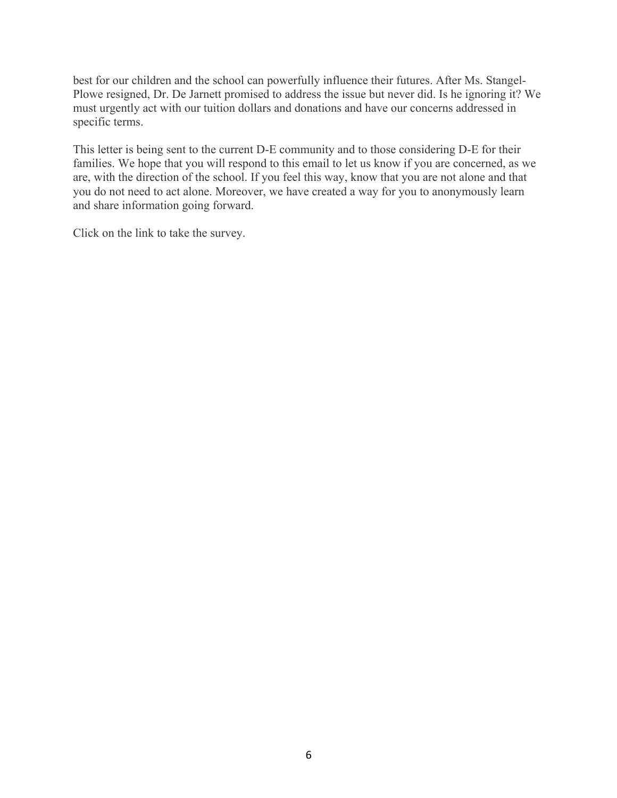best for our children and the school can powerfully influence their futures. After Ms. Stangel-Plowe resigned, Dr. De Jarnett promised to address the issue but never did. Is he ignoring it? We must urgently act with our tuition dollars and donations and have our concerns addressed in specific terms.

This letter is being sent to the current D-E community and to those considering D-E for their families. We hope that you will respond to this email to let us know if you are concerned, as we are, with the direction of the school. If you feel this way, know that you are not alone and that you do not need to act alone. Moreover, we have created a way for you to anonymously learn and share information going forward.

Click on the link to take the survey.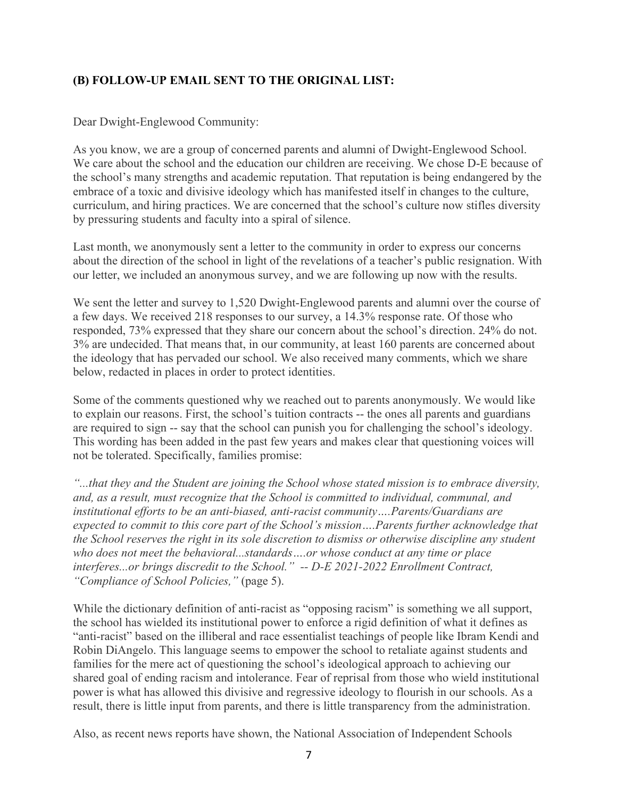# **(B) FOLLOW-UP EMAIL SENT TO THE ORIGINAL LIST:**

### Dear Dwight-Englewood Community:

As you know, we are a group of concerned parents and alumni of Dwight-Englewood School. We care about the school and the education our children are receiving. We chose D-E because of the school's many strengths and academic reputation. That reputation is being endangered by the embrace of a toxic and divisive ideology which has manifested itself in changes to the culture, curriculum, and hiring practices. We are concerned that the school's culture now stifles diversity by pressuring students and faculty into a spiral of silence.

Last month, we anonymously sent a letter to the community in order to express our concerns about the direction of the school in light of the revelations of a teacher's public resignation. With our letter, we included an anonymous survey, and we are following up now with the results.

We sent the letter and survey to 1,520 Dwight-Englewood parents and alumni over the course of a few days. We received 218 responses to our survey, a 14.3% response rate. Of those who responded, 73% expressed that they share our concern about the school's direction. 24% do not. 3% are undecided. That means that, in our community, at least 160 parents are concerned about the ideology that has pervaded our school. We also received many comments, which we share below, redacted in places in order to protect identities.

Some of the comments questioned why we reached out to parents anonymously. We would like to explain our reasons. First, the school's tuition contracts -- the ones all parents and guardians are required to sign -- say that the school can punish you for challenging the school's ideology. This wording has been added in the past few years and makes clear that questioning voices will not be tolerated. Specifically, families promise:

*"...that they and the Student are joining the School whose stated mission is to embrace diversity, and, as a result, must recognize that the School is committed to individual, communal, and institutional efforts to be an anti-biased, anti-racist community….Parents/Guardians are expected to commit to this core part of the School's mission….Parents further acknowledge that the School reserves the right in its sole discretion to dismiss or otherwise discipline any student who does not meet the behavioral...standards….or whose conduct at any time or place interferes...or brings discredit to the School." -- D-E 2021-2022 Enrollment Contract, "Compliance of School Policies,"* (page 5).

While the dictionary definition of anti-racist as "opposing racism" is something we all support, the school has wielded its institutional power to enforce a rigid definition of what it defines as "anti-racist" based on the illiberal and race essentialist teachings of people like Ibram Kendi and Robin DiAngelo. This language seems to empower the school to retaliate against students and families for the mere act of questioning the school's ideological approach to achieving our shared goal of ending racism and intolerance. Fear of reprisal from those who wield institutional power is what has allowed this divisive and regressive ideology to flourish in our schools. As a result, there is little input from parents, and there is little transparency from the administration.

Also, as recent news reports have shown, the National Association of Independent Schools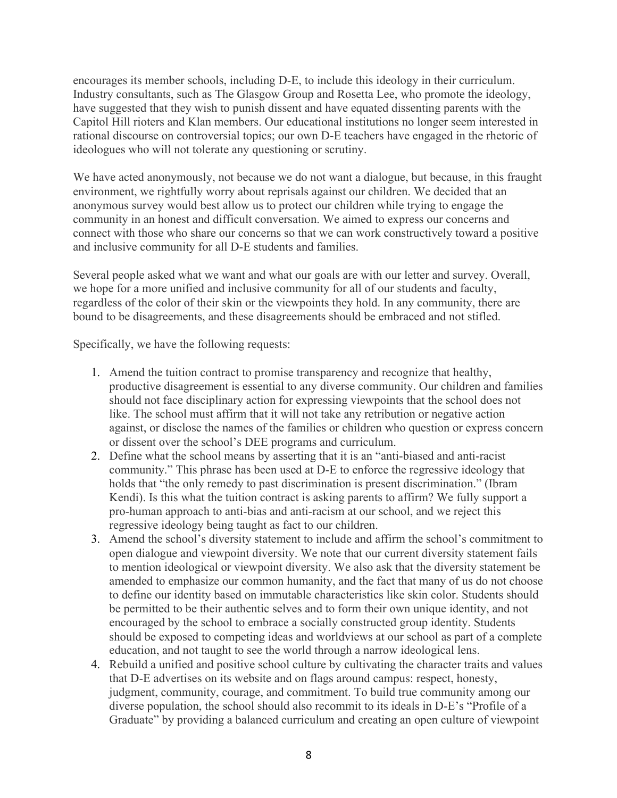encourages its member schools, including D-E, to include this ideology in their curriculum. Industry consultants, such as The Glasgow Group and Rosetta Lee, who promote the ideology, have suggested that they wish to punish dissent and have equated dissenting parents with the Capitol Hill rioters and Klan members. Our educational institutions no longer seem interested in rational discourse on controversial topics; our own D-E teachers have engaged in the rhetoric of ideologues who will not tolerate any questioning or scrutiny.

We have acted anonymously, not because we do not want a dialogue, but because, in this fraught environment, we rightfully worry about reprisals against our children. We decided that an anonymous survey would best allow us to protect our children while trying to engage the community in an honest and difficult conversation. We aimed to express our concerns and connect with those who share our concerns so that we can work constructively toward a positive and inclusive community for all D-E students and families.

Several people asked what we want and what our goals are with our letter and survey. Overall, we hope for a more unified and inclusive community for all of our students and faculty, regardless of the color of their skin or the viewpoints they hold. In any community, there are bound to be disagreements, and these disagreements should be embraced and not stifled.

Specifically, we have the following requests:

- 1. Amend the tuition contract to promise transparency and recognize that healthy, productive disagreement is essential to any diverse community. Our children and families should not face disciplinary action for expressing viewpoints that the school does not like. The school must affirm that it will not take any retribution or negative action against, or disclose the names of the families or children who question or express concern or dissent over the school's DEE programs and curriculum.
- 2. Define what the school means by asserting that it is an "anti-biased and anti-racist community." This phrase has been used at D-E to enforce the regressive ideology that holds that "the only remedy to past discrimination is present discrimination." (Ibram Kendi). Is this what the tuition contract is asking parents to affirm? We fully support a pro-human approach to anti-bias and anti-racism at our school, and we reject this regressive ideology being taught as fact to our children.
- 3. Amend the school's diversity statement to include and affirm the school's commitment to open dialogue and viewpoint diversity. We note that our current diversity statement fails to mention ideological or viewpoint diversity. We also ask that the diversity statement be amended to emphasize our common humanity, and the fact that many of us do not choose to define our identity based on immutable characteristics like skin color. Students should be permitted to be their authentic selves and to form their own unique identity, and not encouraged by the school to embrace a socially constructed group identity. Students should be exposed to competing ideas and worldviews at our school as part of a complete education, and not taught to see the world through a narrow ideological lens.
- 4. Rebuild a unified and positive school culture by cultivating the character traits and values that D-E advertises on its website and on flags around campus: respect, honesty, judgment, community, courage, and commitment. To build true community among our diverse population, the school should also recommit to its ideals in D-E's "Profile of a Graduate" by providing a balanced curriculum and creating an open culture of viewpoint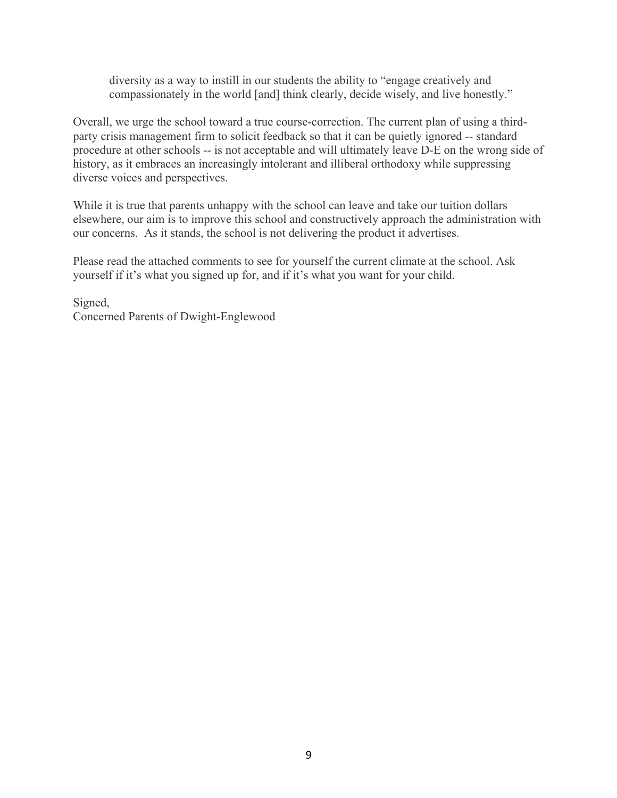diversity as a way to instill in our students the ability to "engage creatively and compassionately in the world [and] think clearly, decide wisely, and live honestly."

Overall, we urge the school toward a true course-correction. The current plan of using a thirdparty crisis management firm to solicit feedback so that it can be quietly ignored -- standard procedure at other schools -- is not acceptable and will ultimately leave D-E on the wrong side of history, as it embraces an increasingly intolerant and illiberal orthodoxy while suppressing diverse voices and perspectives.

While it is true that parents unhappy with the school can leave and take our tuition dollars elsewhere, our aim is to improve this school and constructively approach the administration with our concerns. As it stands, the school is not delivering the product it advertises.

Please read the attached comments to see for yourself the current climate at the school. Ask yourself if it's what you signed up for, and if it's what you want for your child.

Signed, Concerned Parents of Dwight-Englewood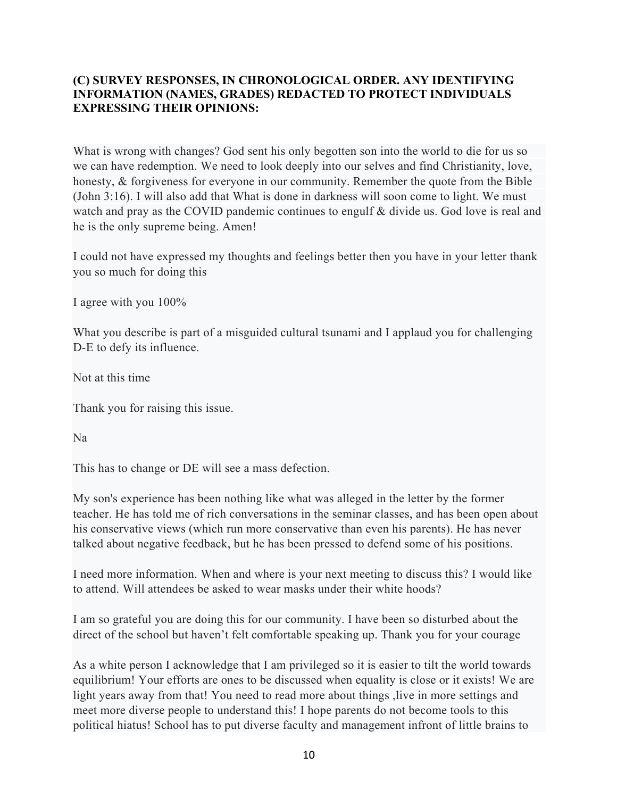# **(C) SURVEY RESPONSES, IN CHRONOLOGICAL ORDER. ANY IDENTIFYING INFORMATION (NAMES, GRADES) REDACTED TO PROTECT INDIVIDUALS EXPRESSING THEIR OPINIONS:**

What is wrong with changes? God sent his only begotten son into the world to die for us so we can have redemption. We need to look deeply into our selves and find Christianity, love, honesty, & forgiveness for everyone in our community. Remember the quote from the Bible (John 3:16). I will also add that What is done in darkness will soon come to light. We must watch and pray as the COVID pandemic continues to engulf & divide us. God love is real and he is the only supreme being. Amen!

I could not have expressed my thoughts and feelings better then you have in your letter thank you so much for doing this

I agree with you 100%

What you describe is part of a misguided cultural tsunami and I applaud you for challenging D-E to defy its influence.

Not at this time

Thank you for raising this issue.

Na

This has to change or DE will see a mass defection.

My son's experience has been nothing like what was alleged in the letter by the former teacher. He has told me of rich conversations in the seminar classes, and has been open about his conservative views (which run more conservative than even his parents). He has never talked about negative feedback, but he has been pressed to defend some of his positions.

I need more information. When and where is your next meeting to discuss this? I would like to attend. Will attendees be asked to wear masks under their white hoods?

I am so grateful you are doing this for our community. I have been so disturbed about the direct of the school but haven't felt comfortable speaking up. Thank you for your courage

As a white person I acknowledge that I am privileged so it is easier to tilt the world towards equilibrium! Your efforts are ones to be discussed when equality is close or it exists! We are light years away from that! You need to read more about things , live in more settings and meet more diverse people to understand this! I hope parents do not become tools to this political hiatus! School has to put diverse faculty and management infront of little brains to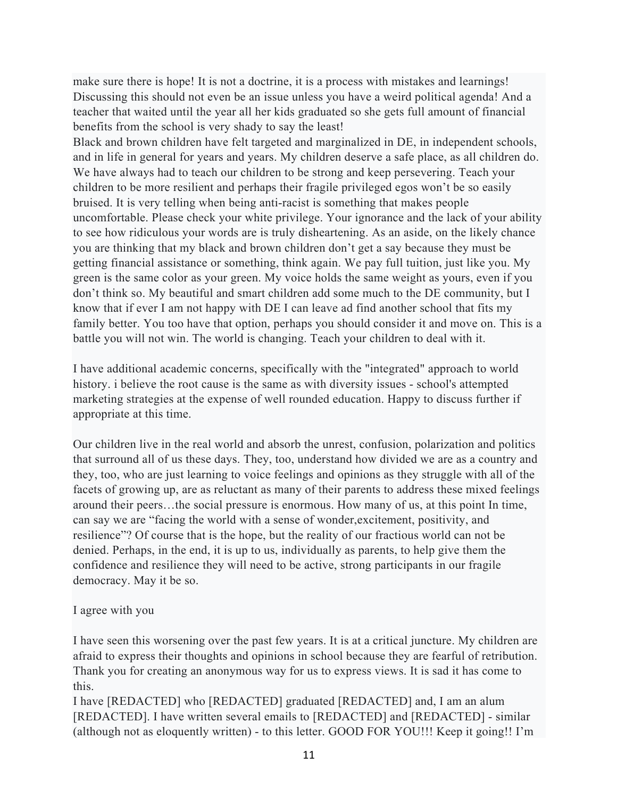make sure there is hope! It is not a doctrine, it is a process with mistakes and learnings! Discussing this should not even be an issue unless you have a weird political agenda! And a teacher that waited until the year all her kids graduated so she gets full amount of financial benefits from the school is very shady to say the least!

Black and brown children have felt targeted and marginalized in DE, in independent schools, and in life in general for years and years. My children deserve a safe place, as all children do. We have always had to teach our children to be strong and keep persevering. Teach your children to be more resilient and perhaps their fragile privileged egos won't be so easily bruised. It is very telling when being anti-racist is something that makes people uncomfortable. Please check your white privilege. Your ignorance and the lack of your ability to see how ridiculous your words are is truly disheartening. As an aside, on the likely chance you are thinking that my black and brown children don't get a say because they must be getting financial assistance or something, think again. We pay full tuition, just like you. My green is the same color as your green. My voice holds the same weight as yours, even if you don't think so. My beautiful and smart children add some much to the DE community, but I know that if ever I am not happy with DE I can leave ad find another school that fits my family better. You too have that option, perhaps you should consider it and move on. This is a battle you will not win. The world is changing. Teach your children to deal with it.

I have additional academic concerns, specifically with the "integrated" approach to world history. i believe the root cause is the same as with diversity issues - school's attempted marketing strategies at the expense of well rounded education. Happy to discuss further if appropriate at this time.

Our children live in the real world and absorb the unrest, confusion, polarization and politics that surround all of us these days. They, too, understand how divided we are as a country and they, too, who are just learning to voice feelings and opinions as they struggle with all of the facets of growing up, are as reluctant as many of their parents to address these mixed feelings around their peers…the social pressure is enormous. How many of us, at this point In time, can say we are "facing the world with a sense of wonder,excitement, positivity, and resilience"? Of course that is the hope, but the reality of our fractious world can not be denied. Perhaps, in the end, it is up to us, individually as parents, to help give them the confidence and resilience they will need to be active, strong participants in our fragile democracy. May it be so.

#### I agree with you

I have seen this worsening over the past few years. It is at a critical juncture. My children are afraid to express their thoughts and opinions in school because they are fearful of retribution. Thank you for creating an anonymous way for us to express views. It is sad it has come to this.

I have [REDACTED] who [REDACTED] graduated [REDACTED] and, I am an alum [REDACTED]. I have written several emails to [REDACTED] and [REDACTED] - similar (although not as eloquently written) - to this letter. GOOD FOR YOU!!! Keep it going!! I'm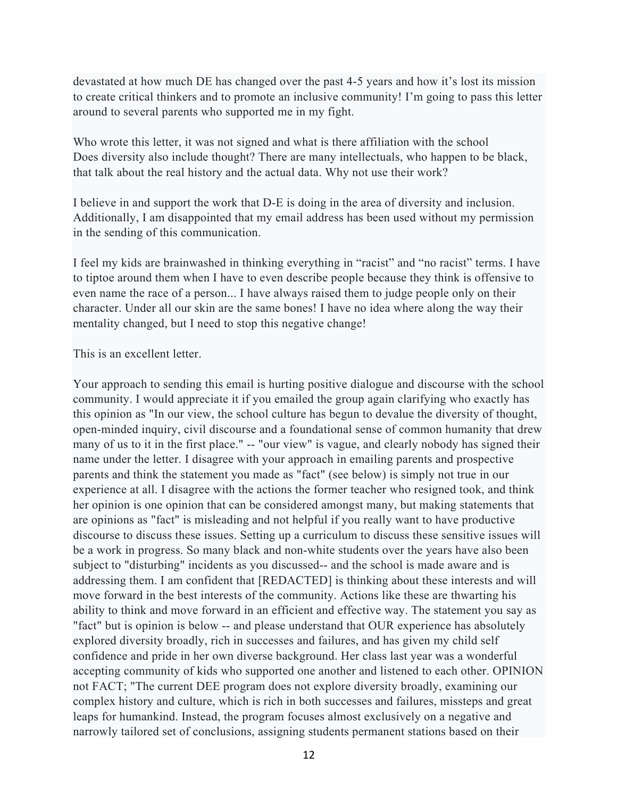devastated at how much DE has changed over the past 4-5 years and how it's lost its mission to create critical thinkers and to promote an inclusive community! I'm going to pass this letter around to several parents who supported me in my fight.

Who wrote this letter, it was not signed and what is there affiliation with the school Does diversity also include thought? There are many intellectuals, who happen to be black, that talk about the real history and the actual data. Why not use their work?

I believe in and support the work that D-E is doing in the area of diversity and inclusion. Additionally, I am disappointed that my email address has been used without my permission in the sending of this communication.

I feel my kids are brainwashed in thinking everything in "racist" and "no racist" terms. I have to tiptoe around them when I have to even describe people because they think is offensive to even name the race of a person... I have always raised them to judge people only on their character. Under all our skin are the same bones! I have no idea where along the way their mentality changed, but I need to stop this negative change!

#### This is an excellent letter.

Your approach to sending this email is hurting positive dialogue and discourse with the school community. I would appreciate it if you emailed the group again clarifying who exactly has this opinion as "In our view, the school culture has begun to devalue the diversity of thought, open-minded inquiry, civil discourse and a foundational sense of common humanity that drew many of us to it in the first place." -- "our view" is vague, and clearly nobody has signed their name under the letter. I disagree with your approach in emailing parents and prospective parents and think the statement you made as "fact" (see below) is simply not true in our experience at all. I disagree with the actions the former teacher who resigned took, and think her opinion is one opinion that can be considered amongst many, but making statements that are opinions as "fact" is misleading and not helpful if you really want to have productive discourse to discuss these issues. Setting up a curriculum to discuss these sensitive issues will be a work in progress. So many black and non-white students over the years have also been subject to "disturbing" incidents as you discussed-- and the school is made aware and is addressing them. I am confident that [REDACTED] is thinking about these interests and will move forward in the best interests of the community. Actions like these are thwarting his ability to think and move forward in an efficient and effective way. The statement you say as "fact" but is opinion is below -- and please understand that OUR experience has absolutely explored diversity broadly, rich in successes and failures, and has given my child self confidence and pride in her own diverse background. Her class last year was a wonderful accepting community of kids who supported one another and listened to each other. OPINION not FACT; "The current DEE program does not explore diversity broadly, examining our complex history and culture, which is rich in both successes and failures, missteps and great leaps for humankind. Instead, the program focuses almost exclusively on a negative and narrowly tailored set of conclusions, assigning students permanent stations based on their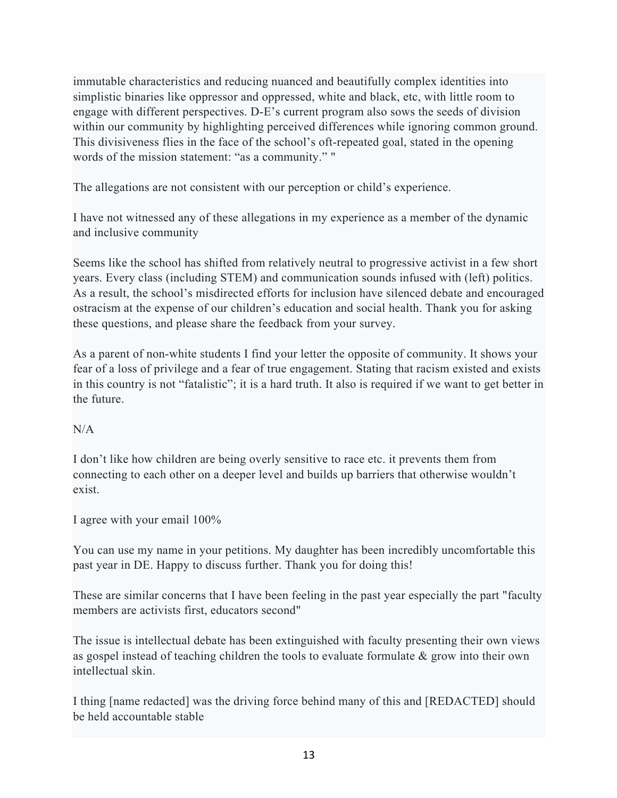immutable characteristics and reducing nuanced and beautifully complex identities into simplistic binaries like oppressor and oppressed, white and black, etc, with little room to engage with different perspectives. D-E's current program also sows the seeds of division within our community by highlighting perceived differences while ignoring common ground. This divisiveness flies in the face of the school's oft-repeated goal, stated in the opening words of the mission statement: "as a community." "

The allegations are not consistent with our perception or child's experience.

I have not witnessed any of these allegations in my experience as a member of the dynamic and inclusive community

Seems like the school has shifted from relatively neutral to progressive activist in a few short years. Every class (including STEM) and communication sounds infused with (left) politics. As a result, the school's misdirected efforts for inclusion have silenced debate and encouraged ostracism at the expense of our children's education and social health. Thank you for asking these questions, and please share the feedback from your survey.

As a parent of non-white students I find your letter the opposite of community. It shows your fear of a loss of privilege and a fear of true engagement. Stating that racism existed and exists in this country is not "fatalistic"; it is a hard truth. It also is required if we want to get better in the future.

# N/A

I don't like how children are being overly sensitive to race etc. it prevents them from connecting to each other on a deeper level and builds up barriers that otherwise wouldn't exist.

I agree with your email 100%

You can use my name in your petitions. My daughter has been incredibly uncomfortable this past year in DE. Happy to discuss further. Thank you for doing this!

These are similar concerns that I have been feeling in the past year especially the part "faculty members are activists first, educators second"

The issue is intellectual debate has been extinguished with faculty presenting their own views as gospel instead of teaching children the tools to evaluate formulate & grow into their own intellectual skin.

I thing [name redacted] was the driving force behind many of this and [REDACTED] should be held accountable stable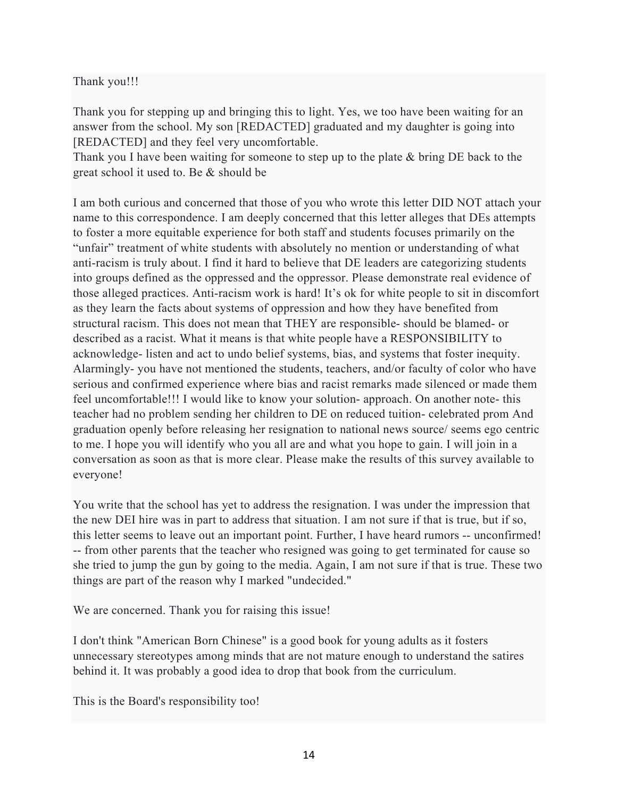### Thank you!!!

Thank you for stepping up and bringing this to light. Yes, we too have been waiting for an answer from the school. My son [REDACTED] graduated and my daughter is going into [REDACTED] and they feel very uncomfortable.

Thank you I have been waiting for someone to step up to the plate & bring DE back to the great school it used to. Be & should be

I am both curious and concerned that those of you who wrote this letter DID NOT attach your name to this correspondence. I am deeply concerned that this letter alleges that DEs attempts to foster a more equitable experience for both staff and students focuses primarily on the "unfair" treatment of white students with absolutely no mention or understanding of what anti-racism is truly about. I find it hard to believe that DE leaders are categorizing students into groups defined as the oppressed and the oppressor. Please demonstrate real evidence of those alleged practices. Anti-racism work is hard! It's ok for white people to sit in discomfort as they learn the facts about systems of oppression and how they have benefited from structural racism. This does not mean that THEY are responsible- should be blamed- or described as a racist. What it means is that white people have a RESPONSIBILITY to acknowledge- listen and act to undo belief systems, bias, and systems that foster inequity. Alarmingly- you have not mentioned the students, teachers, and/or faculty of color who have serious and confirmed experience where bias and racist remarks made silenced or made them feel uncomfortable!!! I would like to know your solution- approach. On another note- this teacher had no problem sending her children to DE on reduced tuition- celebrated prom And graduation openly before releasing her resignation to national news source/ seems ego centric to me. I hope you will identify who you all are and what you hope to gain. I will join in a conversation as soon as that is more clear. Please make the results of this survey available to everyone!

You write that the school has yet to address the resignation. I was under the impression that the new DEI hire was in part to address that situation. I am not sure if that is true, but if so, this letter seems to leave out an important point. Further, I have heard rumors -- unconfirmed! -- from other parents that the teacher who resigned was going to get terminated for cause so she tried to jump the gun by going to the media. Again, I am not sure if that is true. These two things are part of the reason why I marked "undecided."

We are concerned. Thank you for raising this issue!

I don't think "American Born Chinese" is a good book for young adults as it fosters unnecessary stereotypes among minds that are not mature enough to understand the satires behind it. It was probably a good idea to drop that book from the curriculum.

This is the Board's responsibility too!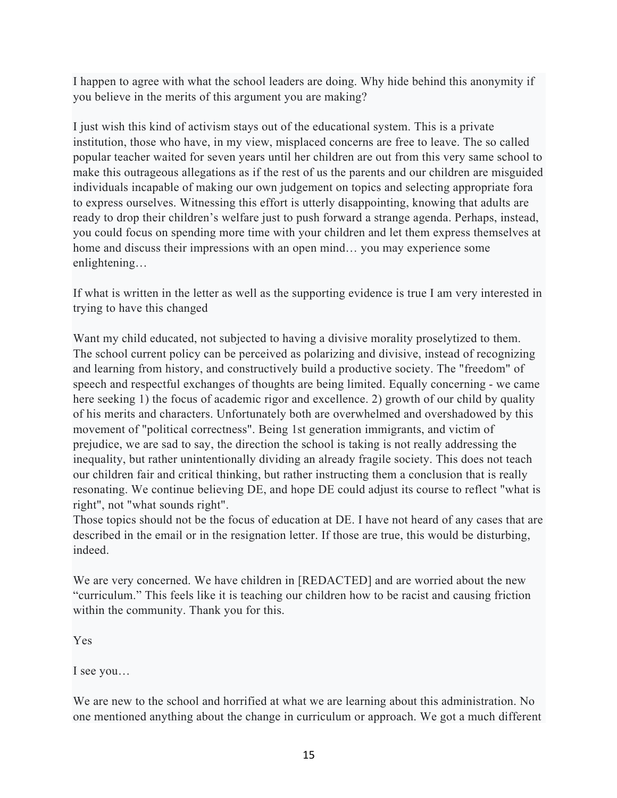I happen to agree with what the school leaders are doing. Why hide behind this anonymity if you believe in the merits of this argument you are making?

I just wish this kind of activism stays out of the educational system. This is a private institution, those who have, in my view, misplaced concerns are free to leave. The so called popular teacher waited for seven years until her children are out from this very same school to make this outrageous allegations as if the rest of us the parents and our children are misguided individuals incapable of making our own judgement on topics and selecting appropriate fora to express ourselves. Witnessing this effort is utterly disappointing, knowing that adults are ready to drop their children's welfare just to push forward a strange agenda. Perhaps, instead, you could focus on spending more time with your children and let them express themselves at home and discuss their impressions with an open mind… you may experience some enlightening…

If what is written in the letter as well as the supporting evidence is true I am very interested in trying to have this changed

Want my child educated, not subjected to having a divisive morality proselytized to them. The school current policy can be perceived as polarizing and divisive, instead of recognizing and learning from history, and constructively build a productive society. The "freedom" of speech and respectful exchanges of thoughts are being limited. Equally concerning - we came here seeking 1) the focus of academic rigor and excellence. 2) growth of our child by quality of his merits and characters. Unfortunately both are overwhelmed and overshadowed by this movement of "political correctness". Being 1st generation immigrants, and victim of prejudice, we are sad to say, the direction the school is taking is not really addressing the inequality, but rather unintentionally dividing an already fragile society. This does not teach our children fair and critical thinking, but rather instructing them a conclusion that is really resonating. We continue believing DE, and hope DE could adjust its course to reflect "what is right", not "what sounds right".

Those topics should not be the focus of education at DE. I have not heard of any cases that are described in the email or in the resignation letter. If those are true, this would be disturbing, indeed.

We are very concerned. We have children in [REDACTED] and are worried about the new "curriculum." This feels like it is teaching our children how to be racist and causing friction within the community. Thank you for this.

Yes

I see you…

We are new to the school and horrified at what we are learning about this administration. No one mentioned anything about the change in curriculum or approach. We got a much different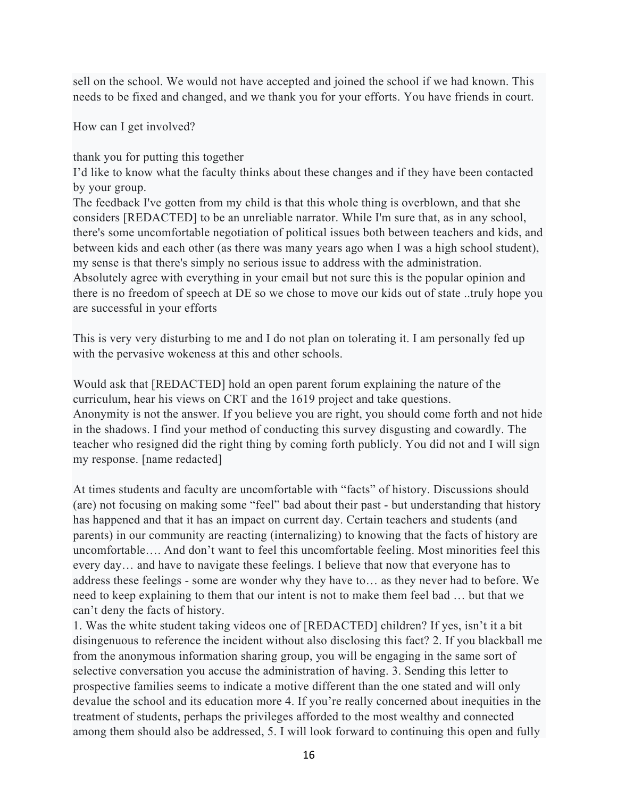sell on the school. We would not have accepted and joined the school if we had known. This needs to be fixed and changed, and we thank you for your efforts. You have friends in court.

How can I get involved?

thank you for putting this together

I'd like to know what the faculty thinks about these changes and if they have been contacted by your group.

The feedback I've gotten from my child is that this whole thing is overblown, and that she considers [REDACTED] to be an unreliable narrator. While I'm sure that, as in any school, there's some uncomfortable negotiation of political issues both between teachers and kids, and between kids and each other (as there was many years ago when I was a high school student), my sense is that there's simply no serious issue to address with the administration. Absolutely agree with everything in your email but not sure this is the popular opinion and there is no freedom of speech at DE so we chose to move our kids out of state ..truly hope you are successful in your efforts

This is very very disturbing to me and I do not plan on tolerating it. I am personally fed up with the pervasive wokeness at this and other schools.

Would ask that [REDACTED] hold an open parent forum explaining the nature of the curriculum, hear his views on CRT and the 1619 project and take questions. Anonymity is not the answer. If you believe you are right, you should come forth and not hide in the shadows. I find your method of conducting this survey disgusting and cowardly. The teacher who resigned did the right thing by coming forth publicly. You did not and I will sign my response. [name redacted]

At times students and faculty are uncomfortable with "facts" of history. Discussions should (are) not focusing on making some "feel" bad about their past - but understanding that history has happened and that it has an impact on current day. Certain teachers and students (and parents) in our community are reacting (internalizing) to knowing that the facts of history are uncomfortable…. And don't want to feel this uncomfortable feeling. Most minorities feel this every day… and have to navigate these feelings. I believe that now that everyone has to address these feelings - some are wonder why they have to… as they never had to before. We need to keep explaining to them that our intent is not to make them feel bad … but that we can't deny the facts of history.

1. Was the white student taking videos one of [REDACTED] children? If yes, isn't it a bit disingenuous to reference the incident without also disclosing this fact? 2. If you blackball me from the anonymous information sharing group, you will be engaging in the same sort of selective conversation you accuse the administration of having. 3. Sending this letter to prospective families seems to indicate a motive different than the one stated and will only devalue the school and its education more 4. If you're really concerned about inequities in the treatment of students, perhaps the privileges afforded to the most wealthy and connected among them should also be addressed, 5. I will look forward to continuing this open and fully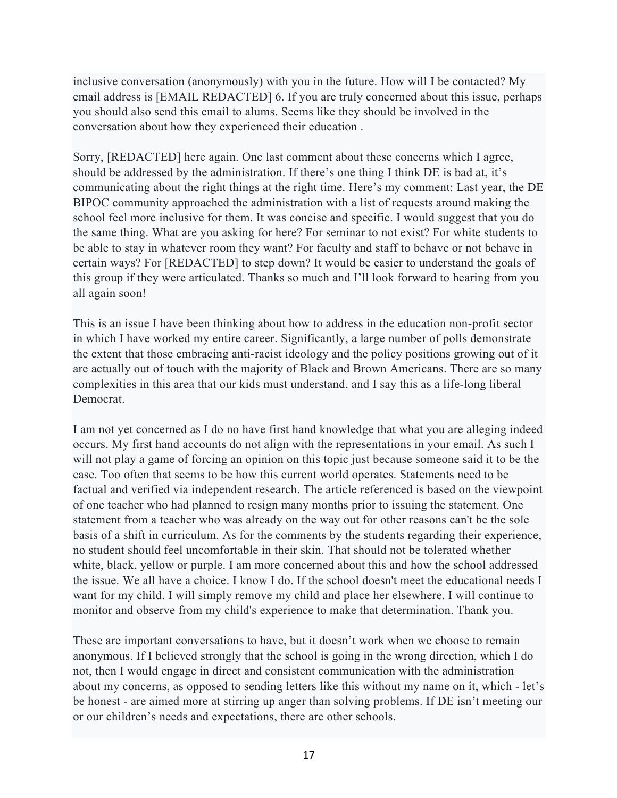inclusive conversation (anonymously) with you in the future. How will I be contacted? My email address is [EMAIL REDACTED] 6. If you are truly concerned about this issue, perhaps you should also send this email to alums. Seems like they should be involved in the conversation about how they experienced their education .

Sorry, [REDACTED] here again. One last comment about these concerns which I agree, should be addressed by the administration. If there's one thing I think DE is bad at, it's communicating about the right things at the right time. Here's my comment: Last year, the DE BIPOC community approached the administration with a list of requests around making the school feel more inclusive for them. It was concise and specific. I would suggest that you do the same thing. What are you asking for here? For seminar to not exist? For white students to be able to stay in whatever room they want? For faculty and staff to behave or not behave in certain ways? For [REDACTED] to step down? It would be easier to understand the goals of this group if they were articulated. Thanks so much and I'll look forward to hearing from you all again soon!

This is an issue I have been thinking about how to address in the education non-profit sector in which I have worked my entire career. Significantly, a large number of polls demonstrate the extent that those embracing anti-racist ideology and the policy positions growing out of it are actually out of touch with the majority of Black and Brown Americans. There are so many complexities in this area that our kids must understand, and I say this as a life-long liberal Democrat.

I am not yet concerned as I do no have first hand knowledge that what you are alleging indeed occurs. My first hand accounts do not align with the representations in your email. As such I will not play a game of forcing an opinion on this topic just because someone said it to be the case. Too often that seems to be how this current world operates. Statements need to be factual and verified via independent research. The article referenced is based on the viewpoint of one teacher who had planned to resign many months prior to issuing the statement. One statement from a teacher who was already on the way out for other reasons can't be the sole basis of a shift in curriculum. As for the comments by the students regarding their experience, no student should feel uncomfortable in their skin. That should not be tolerated whether white, black, yellow or purple. I am more concerned about this and how the school addressed the issue. We all have a choice. I know I do. If the school doesn't meet the educational needs I want for my child. I will simply remove my child and place her elsewhere. I will continue to monitor and observe from my child's experience to make that determination. Thank you.

These are important conversations to have, but it doesn't work when we choose to remain anonymous. If I believed strongly that the school is going in the wrong direction, which I do not, then I would engage in direct and consistent communication with the administration about my concerns, as opposed to sending letters like this without my name on it, which - let's be honest - are aimed more at stirring up anger than solving problems. If DE isn't meeting our or our children's needs and expectations, there are other schools.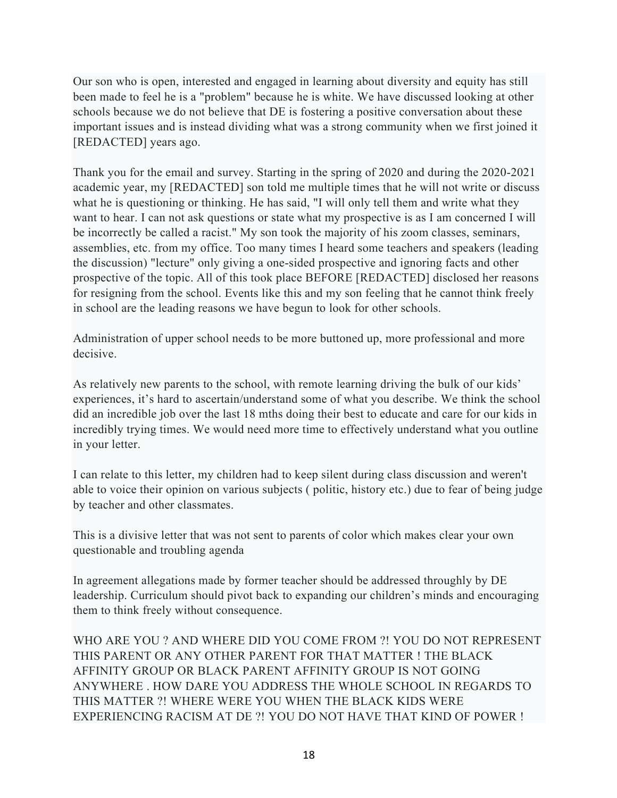Our son who is open, interested and engaged in learning about diversity and equity has still been made to feel he is a "problem" because he is white. We have discussed looking at other schools because we do not believe that DE is fostering a positive conversation about these important issues and is instead dividing what was a strong community when we first joined it [REDACTED] years ago.

Thank you for the email and survey. Starting in the spring of 2020 and during the 2020-2021 academic year, my [REDACTED] son told me multiple times that he will not write or discuss what he is questioning or thinking. He has said, "I will only tell them and write what they want to hear. I can not ask questions or state what my prospective is as I am concerned I will be incorrectly be called a racist." My son took the majority of his zoom classes, seminars, assemblies, etc. from my office. Too many times I heard some teachers and speakers (leading the discussion) "lecture" only giving a one-sided prospective and ignoring facts and other prospective of the topic. All of this took place BEFORE [REDACTED] disclosed her reasons for resigning from the school. Events like this and my son feeling that he cannot think freely in school are the leading reasons we have begun to look for other schools.

Administration of upper school needs to be more buttoned up, more professional and more decisive.

As relatively new parents to the school, with remote learning driving the bulk of our kids' experiences, it's hard to ascertain/understand some of what you describe. We think the school did an incredible job over the last 18 mths doing their best to educate and care for our kids in incredibly trying times. We would need more time to effectively understand what you outline in your letter.

I can relate to this letter, my children had to keep silent during class discussion and weren't able to voice their opinion on various subjects ( politic, history etc.) due to fear of being judge by teacher and other classmates.

This is a divisive letter that was not sent to parents of color which makes clear your own questionable and troubling agenda

In agreement allegations made by former teacher should be addressed throughly by DE leadership. Curriculum should pivot back to expanding our children's minds and encouraging them to think freely without consequence.

WHO ARE YOU ? AND WHERE DID YOU COME FROM ?! YOU DO NOT REPRESENT THIS PARENT OR ANY OTHER PARENT FOR THAT MATTER ! THE BLACK AFFINITY GROUP OR BLACK PARENT AFFINITY GROUP IS NOT GOING ANYWHERE . HOW DARE YOU ADDRESS THE WHOLE SCHOOL IN REGARDS TO THIS MATTER ?! WHERE WERE YOU WHEN THE BLACK KIDS WERE EXPERIENCING RACISM AT DE ?! YOU DO NOT HAVE THAT KIND OF POWER !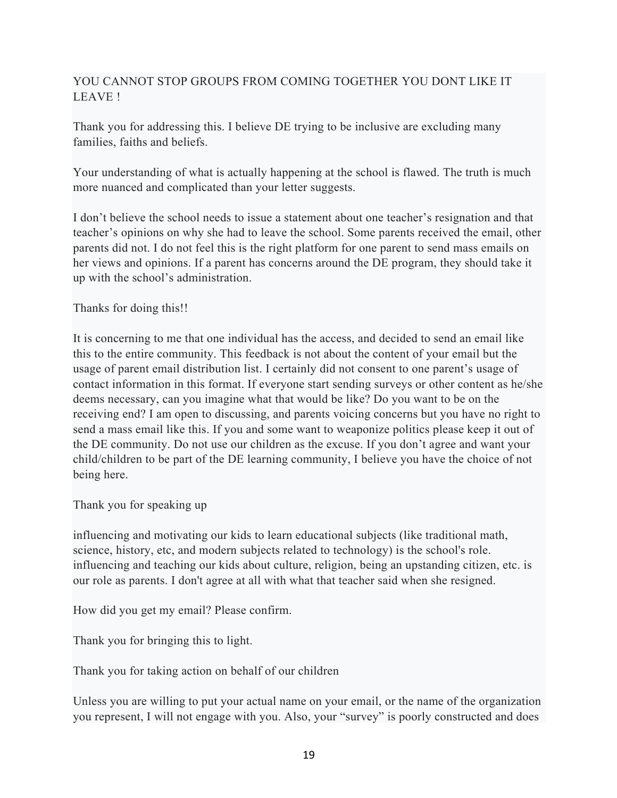# YOU CANNOT STOP GROUPS FROM COMING TOGETHER YOU DONT LIKE IT LEAVE !

Thank you for addressing this. I believe DE trying to be inclusive are excluding many families, faiths and beliefs.

Your understanding of what is actually happening at the school is flawed. The truth is much more nuanced and complicated than your letter suggests.

I don't believe the school needs to issue a statement about one teacher's resignation and that teacher's opinions on why she had to leave the school. Some parents received the email, other parents did not. I do not feel this is the right platform for one parent to send mass emails on her views and opinions. If a parent has concerns around the DE program, they should take it up with the school's administration.

Thanks for doing this!!

It is concerning to me that one individual has the access, and decided to send an email like this to the entire community. This feedback is not about the content of your email but the usage of parent email distribution list. I certainly did not consent to one parent's usage of contact information in this format. If everyone start sending surveys or other content as he/she deems necessary, can you imagine what that would be like? Do you want to be on the receiving end? I am open to discussing, and parents voicing concerns but you have no right to send a mass email like this. If you and some want to weaponize politics please keep it out of the DE community. Do not use our children as the excuse. If you don't agree and want your child/children to be part of the DE learning community, I believe you have the choice of not being here.

Thank you for speaking up

influencing and motivating our kids to learn educational subjects (like traditional math, science, history, etc, and modern subjects related to technology) is the school's role. influencing and teaching our kids about culture, religion, being an upstanding citizen, etc. is our role as parents. I don't agree at all with what that teacher said when she resigned.

How did you get my email? Please confirm.

Thank you for bringing this to light.

Thank you for taking action on behalf of our children

Unless you are willing to put your actual name on your email, or the name of the organization you represent, I will not engage with you. Also, your "survey" is poorly constructed and does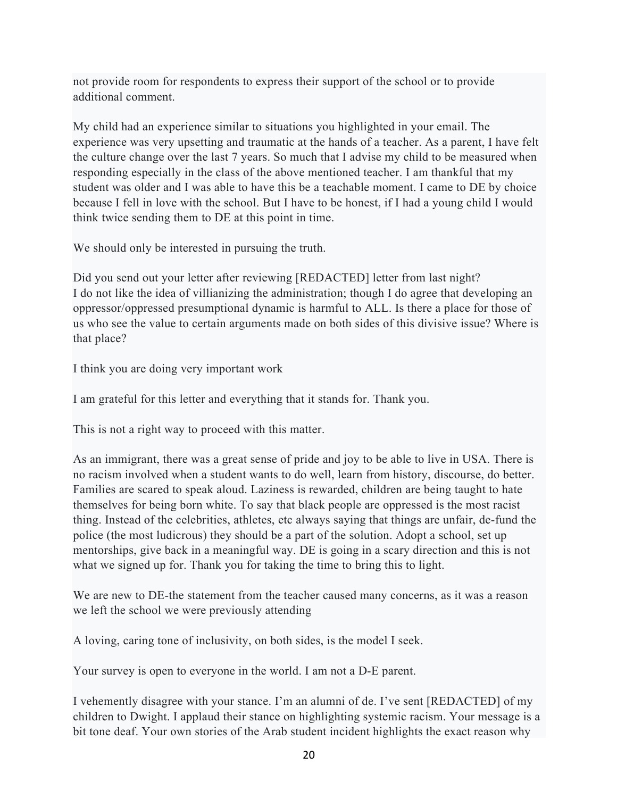not provide room for respondents to express their support of the school or to provide additional comment.

My child had an experience similar to situations you highlighted in your email. The experience was very upsetting and traumatic at the hands of a teacher. As a parent, I have felt the culture change over the last 7 years. So much that I advise my child to be measured when responding especially in the class of the above mentioned teacher. I am thankful that my student was older and I was able to have this be a teachable moment. I came to DE by choice because I fell in love with the school. But I have to be honest, if I had a young child I would think twice sending them to DE at this point in time.

We should only be interested in pursuing the truth.

Did you send out your letter after reviewing [REDACTED] letter from last night? I do not like the idea of villianizing the administration; though I do agree that developing an oppressor/oppressed presumptional dynamic is harmful to ALL. Is there a place for those of us who see the value to certain arguments made on both sides of this divisive issue? Where is that place?

I think you are doing very important work

I am grateful for this letter and everything that it stands for. Thank you.

This is not a right way to proceed with this matter.

As an immigrant, there was a great sense of pride and joy to be able to live in USA. There is no racism involved when a student wants to do well, learn from history, discourse, do better. Families are scared to speak aloud. Laziness is rewarded, children are being taught to hate themselves for being born white. To say that black people are oppressed is the most racist thing. Instead of the celebrities, athletes, etc always saying that things are unfair, de-fund the police (the most ludicrous) they should be a part of the solution. Adopt a school, set up mentorships, give back in a meaningful way. DE is going in a scary direction and this is not what we signed up for. Thank you for taking the time to bring this to light.

We are new to DE-the statement from the teacher caused many concerns, as it was a reason we left the school we were previously attending

A loving, caring tone of inclusivity, on both sides, is the model I seek.

Your survey is open to everyone in the world. I am not a D-E parent.

I vehemently disagree with your stance. I'm an alumni of de. I've sent [REDACTED] of my children to Dwight. I applaud their stance on highlighting systemic racism. Your message is a bit tone deaf. Your own stories of the Arab student incident highlights the exact reason why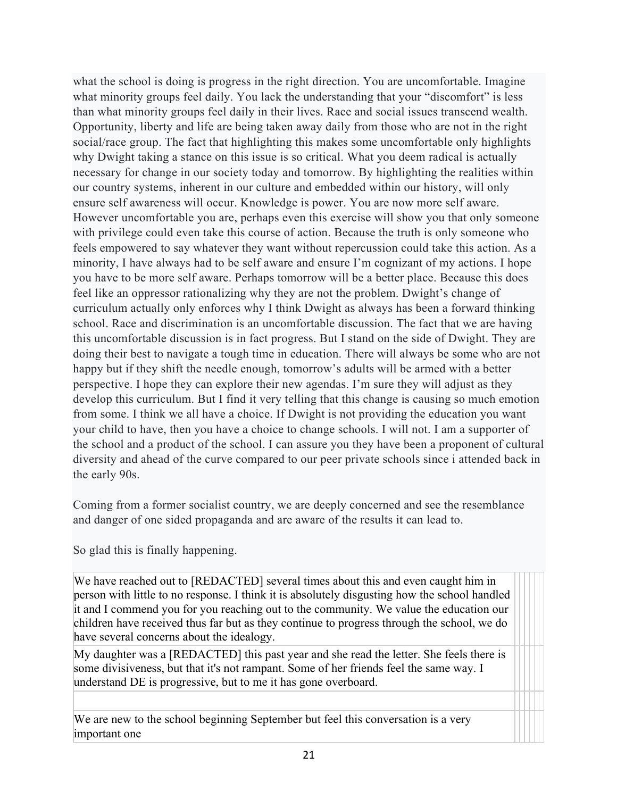what the school is doing is progress in the right direction. You are uncomfortable. Imagine what minority groups feel daily. You lack the understanding that your "discomfort" is less than what minority groups feel daily in their lives. Race and social issues transcend wealth. Opportunity, liberty and life are being taken away daily from those who are not in the right social/race group. The fact that highlighting this makes some uncomfortable only highlights why Dwight taking a stance on this issue is so critical. What you deem radical is actually necessary for change in our society today and tomorrow. By highlighting the realities within our country systems, inherent in our culture and embedded within our history, will only ensure self awareness will occur. Knowledge is power. You are now more self aware. However uncomfortable you are, perhaps even this exercise will show you that only someone with privilege could even take this course of action. Because the truth is only someone who feels empowered to say whatever they want without repercussion could take this action. As a minority, I have always had to be self aware and ensure I'm cognizant of my actions. I hope you have to be more self aware. Perhaps tomorrow will be a better place. Because this does feel like an oppressor rationalizing why they are not the problem. Dwight's change of curriculum actually only enforces why I think Dwight as always has been a forward thinking school. Race and discrimination is an uncomfortable discussion. The fact that we are having this uncomfortable discussion is in fact progress. But I stand on the side of Dwight. They are doing their best to navigate a tough time in education. There will always be some who are not happy but if they shift the needle enough, tomorrow's adults will be armed with a better perspective. I hope they can explore their new agendas. I'm sure they will adjust as they develop this curriculum. But I find it very telling that this change is causing so much emotion from some. I think we all have a choice. If Dwight is not providing the education you want your child to have, then you have a choice to change schools. I will not. I am a supporter of the school and a product of the school. I can assure you they have been a proponent of cultural diversity and ahead of the curve compared to our peer private schools since i attended back in the early 90s.

Coming from a former socialist country, we are deeply concerned and see the resemblance and danger of one sided propaganda and are aware of the results it can lead to.

So glad this is finally happening.

We have reached out to [REDACTED] several times about this and even caught him in person with little to no response. I think it is absolutely disgusting how the school handled it and I commend you for you reaching out to the community. We value the education our children have received thus far but as they continue to progress through the school, we do have several concerns about the idealogy.

My daughter was a [REDACTED] this past year and she read the letter. She feels there is some divisiveness, but that it's not rampant. Some of her friends feel the same way. I understand DE is progressive, but to me it has gone overboard.

We are new to the school beginning September but feel this conversation is a very important one